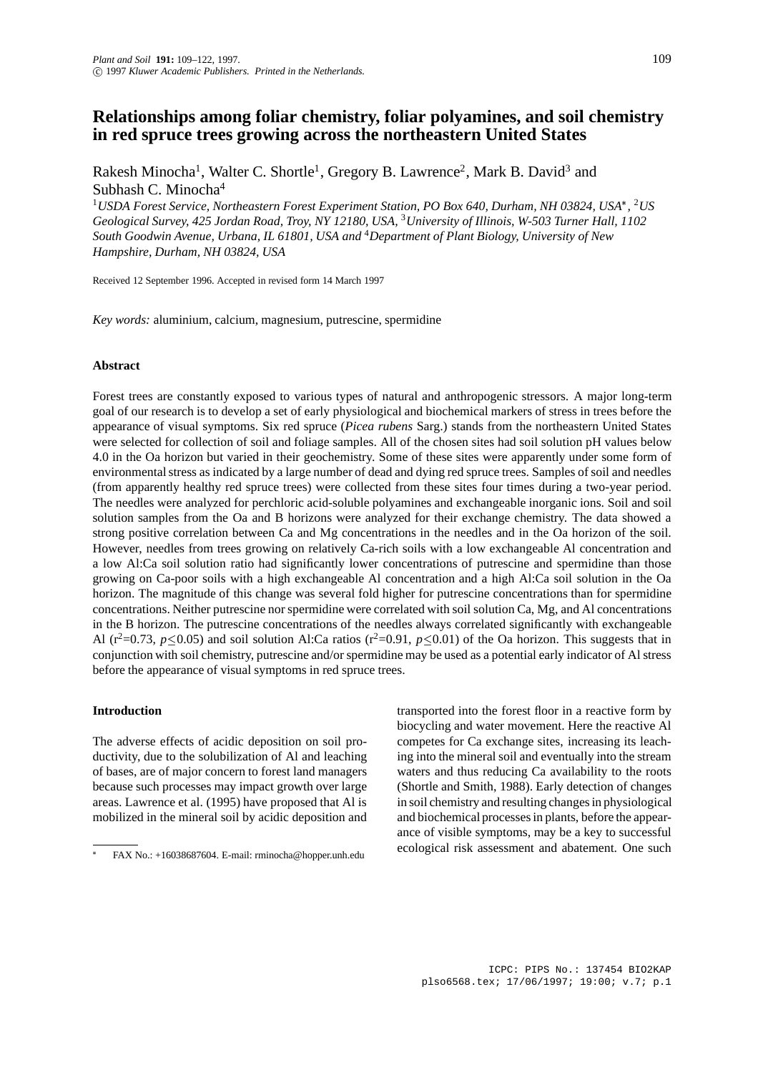# **Relationships among foliar chemistry, foliar polyamines, and soil chemistry in red spruce trees growing across the northeastern United States**

Rakesh Minocha<sup>1</sup>, Walter C. Shortle<sup>1</sup>, Gregory B. Lawrence<sup>2</sup>, Mark B. David<sup>3</sup> and Subhash C. Minocha4

<sup>1</sup>USDA Forest Service, Northeastern Forest Experiment Station, PO Box 640, Durham, NH 03824, USA\*, <sup>2</sup>US *Geological Survey, 425 Jordan Road, Troy, NY 12180, USA,* <sup>3</sup>*University of Illinois, W-503 Turner Hall, 1102 South Goodwin Avenue, Urbana, IL 61801, USA and* <sup>4</sup>*Department of Plant Biology, University of New Hampshire, Durham, NH 03824, USA*

Received 12 September 1996. Accepted in revised form 14 March 1997

*Key words:* aluminium, calcium, magnesium, putrescine, spermidine

#### **Abstract**

Forest trees are constantly exposed to various types of natural and anthropogenic stressors. A major long-term goal of our research is to develop a set of early physiological and biochemical markers of stress in trees before the appearance of visual symptoms. Six red spruce (*Picea rubens* Sarg.) stands from the northeastern United States were selected for collection of soil and foliage samples. All of the chosen sites had soil solution pH values below 4.0 in the Oa horizon but varied in their geochemistry. Some of these sites were apparently under some form of environmental stress as indicated by a large number of dead and dying red spruce trees. Samples of soil and needles (from apparently healthy red spruce trees) were collected from these sites four times during a two-year period. The needles were analyzed for perchloric acid-soluble polyamines and exchangeable inorganic ions. Soil and soil solution samples from the Oa and B horizons were analyzed for their exchange chemistry. The data showed a strong positive correlation between Ca and Mg concentrations in the needles and in the Oa horizon of the soil. However, needles from trees growing on relatively Ca-rich soils with a low exchangeable Al concentration and a low Al:Ca soil solution ratio had significantly lower concentrations of putrescine and spermidine than those growing on Ca-poor soils with a high exchangeable Al concentration and a high Al:Ca soil solution in the Oa horizon. The magnitude of this change was several fold higher for putrescine concentrations than for spermidine concentrations. Neither putrescine nor spermidine were correlated with soil solution Ca, Mg, and Al concentrations in the B horizon. The putrescine concentrations of the needles always correlated significantly with exchangeable Al ( $r^2$ =0.73,  $p \le 0.05$ ) and soil solution Al:Ca ratios ( $r^2$ =0.91,  $p \le 0.01$ ) of the Oa horizon. This suggests that in conjunction with soil chemistry, putrescine and/or spermidine may be used as a potential early indicator of Al stress before the appearance of visual symptoms in red spruce trees.

#### **Introduction**

The adverse effects of acidic deposition on soil productivity, due to the solubilization of Al and leaching of bases, are of major concern to forest land managers because such processes may impact growth over large areas. Lawrence et al. (1995) have proposed that Al is mobilized in the mineral soil by acidic deposition and transported into the forest floor in a reactive form by biocycling and water movement. Here the reactive Al competes for Ca exchange sites, increasing its leaching into the mineral soil and eventually into the stream waters and thus reducing Ca availability to the roots (Shortle and Smith, 1988). Early detection of changes in soil chemistry and resulting changes in physiological and biochemical processes in plants, before the appearance of visible symptoms, may be a key to successful ecological risk assessment and abatement. One such

FAX No.: +16038687604. E-mail: rminocha@hopper.unh.edu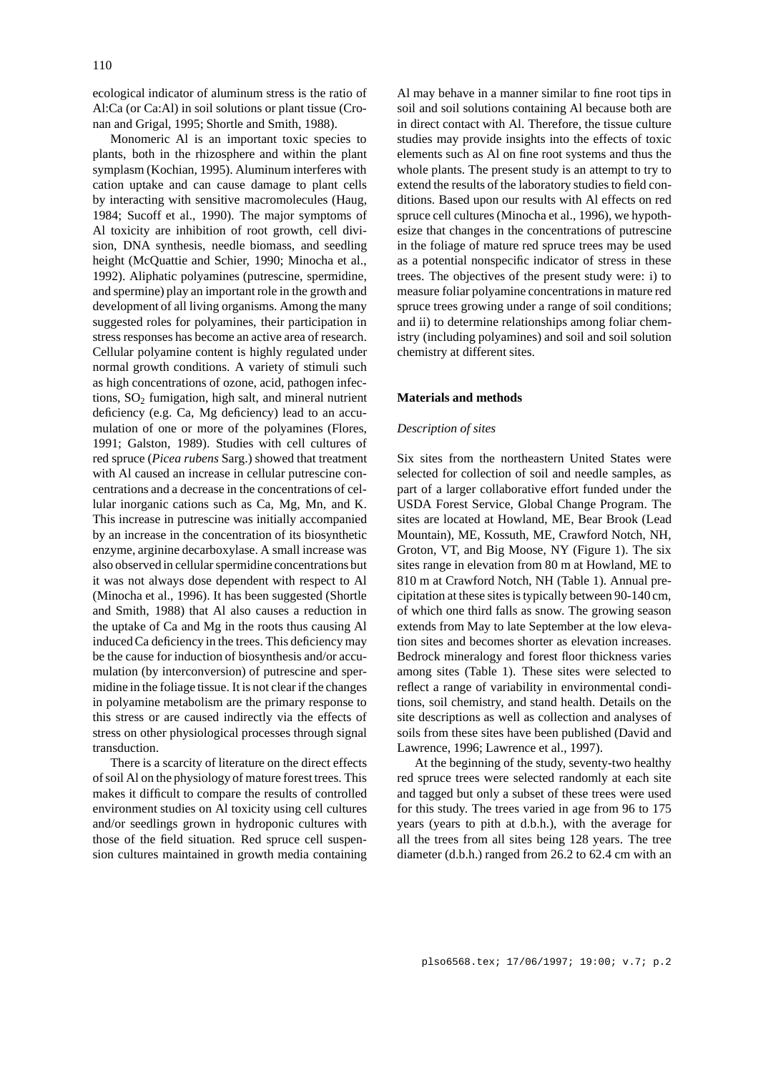ecological indicator of aluminum stress is the ratio of Al:Ca (or Ca:Al) in soil solutions or plant tissue (Cronan and Grigal, 1995; Shortle and Smith, 1988).

Monomeric Al is an important toxic species to plants, both in the rhizosphere and within the plant symplasm (Kochian, 1995). Aluminum interferes with cation uptake and can cause damage to plant cells by interacting with sensitive macromolecules (Haug, 1984; Sucoff et al., 1990). The major symptoms of Al toxicity are inhibition of root growth, cell division, DNA synthesis, needle biomass, and seedling height (McQuattie and Schier, 1990; Minocha et al., 1992). Aliphatic polyamines (putrescine, spermidine, and spermine) play an important role in the growth and development of all living organisms. Among the many suggested roles for polyamines, their participation in stress responses has become an active area of research. Cellular polyamine content is highly regulated under normal growth conditions. A variety of stimuli such as high concentrations of ozone, acid, pathogen infections,  $SO<sub>2</sub>$  fumigation, high salt, and mineral nutrient deficiency (e.g. Ca, Mg deficiency) lead to an accumulation of one or more of the polyamines (Flores, 1991; Galston, 1989). Studies with cell cultures of red spruce (*Picea rubens* Sarg.) showed that treatment with Al caused an increase in cellular putrescine concentrations and a decrease in the concentrations of cellular inorganic cations such as Ca, Mg, Mn, and K. This increase in putrescine was initially accompanied by an increase in the concentration of its biosynthetic enzyme, arginine decarboxylase. A small increase was also observed in cellular spermidine concentrations but it was not always dose dependent with respect to Al (Minocha et al., 1996). It has been suggested (Shortle and Smith, 1988) that Al also causes a reduction in the uptake of Ca and Mg in the roots thus causing Al induced Ca deficiency in the trees. This deficiency may be the cause for induction of biosynthesis and/or accumulation (by interconversion) of putrescine and spermidine in the foliage tissue. It is not clear if the changes in polyamine metabolism are the primary response to this stress or are caused indirectly via the effects of stress on other physiological processes through signal transduction.

There is a scarcity of literature on the direct effects of soil Al on the physiology of mature forest trees. This makes it difficult to compare the results of controlled environment studies on Al toxicity using cell cultures and/or seedlings grown in hydroponic cultures with those of the field situation. Red spruce cell suspension cultures maintained in growth media containing Al may behave in a manner similar to fine root tips in soil and soil solutions containing Al because both are in direct contact with Al. Therefore, the tissue culture studies may provide insights into the effects of toxic elements such as Al on fine root systems and thus the whole plants. The present study is an attempt to try to extend the results of the laboratory studies to field conditions. Based upon our results with Al effects on red spruce cell cultures (Minocha et al., 1996), we hypothesize that changes in the concentrations of putrescine in the foliage of mature red spruce trees may be used as a potential nonspecific indicator of stress in these trees. The objectives of the present study were: i) to measure foliar polyamine concentrations in mature red spruce trees growing under a range of soil conditions; and ii) to determine relationships among foliar chemistry (including polyamines) and soil and soil solution chemistry at different sites.

## **Materials and methods**

## *Description of sites*

Six sites from the northeastern United States were selected for collection of soil and needle samples, as part of a larger collaborative effort funded under the USDA Forest Service, Global Change Program. The sites are located at Howland, ME, Bear Brook (Lead Mountain), ME, Kossuth, ME, Crawford Notch, NH, Groton, VT, and Big Moose, NY (Figure 1). The six sites range in elevation from 80 m at Howland, ME to 810 m at Crawford Notch, NH (Table 1). Annual precipitation at these sites is typically between 90-140 cm, of which one third falls as snow. The growing season extends from May to late September at the low elevation sites and becomes shorter as elevation increases. Bedrock mineralogy and forest floor thickness varies among sites (Table 1). These sites were selected to reflect a range of variability in environmental conditions, soil chemistry, and stand health. Details on the site descriptions as well as collection and analyses of soils from these sites have been published (David and Lawrence, 1996; Lawrence et al., 1997).

At the beginning of the study, seventy-two healthy red spruce trees were selected randomly at each site and tagged but only a subset of these trees were used for this study. The trees varied in age from 96 to 175 years (years to pith at d.b.h.), with the average for all the trees from all sites being 128 years. The tree diameter (d.b.h.) ranged from 26.2 to 62.4 cm with an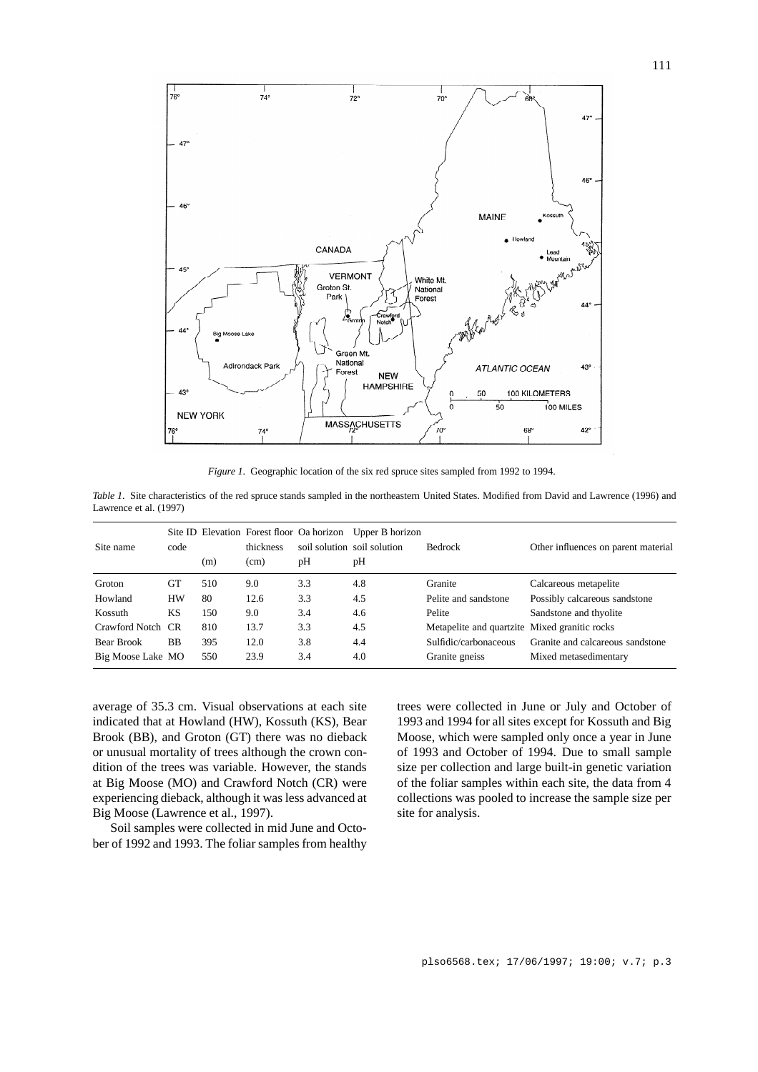

*Figure 1*. Geographic location of the six red spruce sites sampled from 1992 to 1994.

*Table 1*. Site characteristics of the red spruce stands sampled in the northeastern United States. Modified from David and Lawrence (1996) and Lawrence et al. (1997)

| Site name         | code      | (m) | thickness<br>(cm) | Site ID Elevation Forest floor Oa horizon<br>pH | Upper B horizon<br>soil solution soil solution<br>pH | <b>Bedrock</b>                                | Other influences on parent material |
|-------------------|-----------|-----|-------------------|-------------------------------------------------|------------------------------------------------------|-----------------------------------------------|-------------------------------------|
| Groton            | GT        | 510 | 9.0               | 3.3                                             | 4.8                                                  | Granite                                       | Calcareous metapelite               |
| Howland           | <b>HW</b> | 80  | 12.6              | 3.3                                             | 4.5                                                  | Pelite and sandstone                          | Possibly calcareous sandstone       |
| Kossuth           | KS        | 150 | 9.0               | 3.4                                             | 4.6                                                  | Pelite                                        | Sandstone and thyolite              |
| Crawford Notch    | <b>CR</b> | 810 | 13.7              | 3.3                                             | 4.5                                                  | Metapelite and quartzite Mixed granitic rocks |                                     |
| Bear Brook        | <b>BB</b> | 395 | 12.0              | 3.8                                             | 4.4                                                  | Sulfidic/carbonaceous                         | Granite and calcareous sandstone    |
| Big Moose Lake MO |           | 550 | 23.9              | 3.4                                             | 4.0                                                  | Granite gneiss                                | Mixed metasedimentary               |

average of 35.3 cm. Visual observations at each site indicated that at Howland (HW), Kossuth (KS), Bear Brook (BB), and Groton (GT) there was no dieback or unusual mortality of trees although the crown condition of the trees was variable. However, the stands at Big Moose (MO) and Crawford Notch (CR) were experiencing dieback, although it was less advanced at Big Moose (Lawrence et al., 1997).

Soil samples were collected in mid June and October of 1992 and 1993. The foliar samples from healthy trees were collected in June or July and October of 1993 and 1994 for all sites except for Kossuth and Big Moose, which were sampled only once a year in June of 1993 and October of 1994. Due to small sample size per collection and large built-in genetic variation of the foliar samples within each site, the data from 4 collections was pooled to increase the sample size per site for analysis.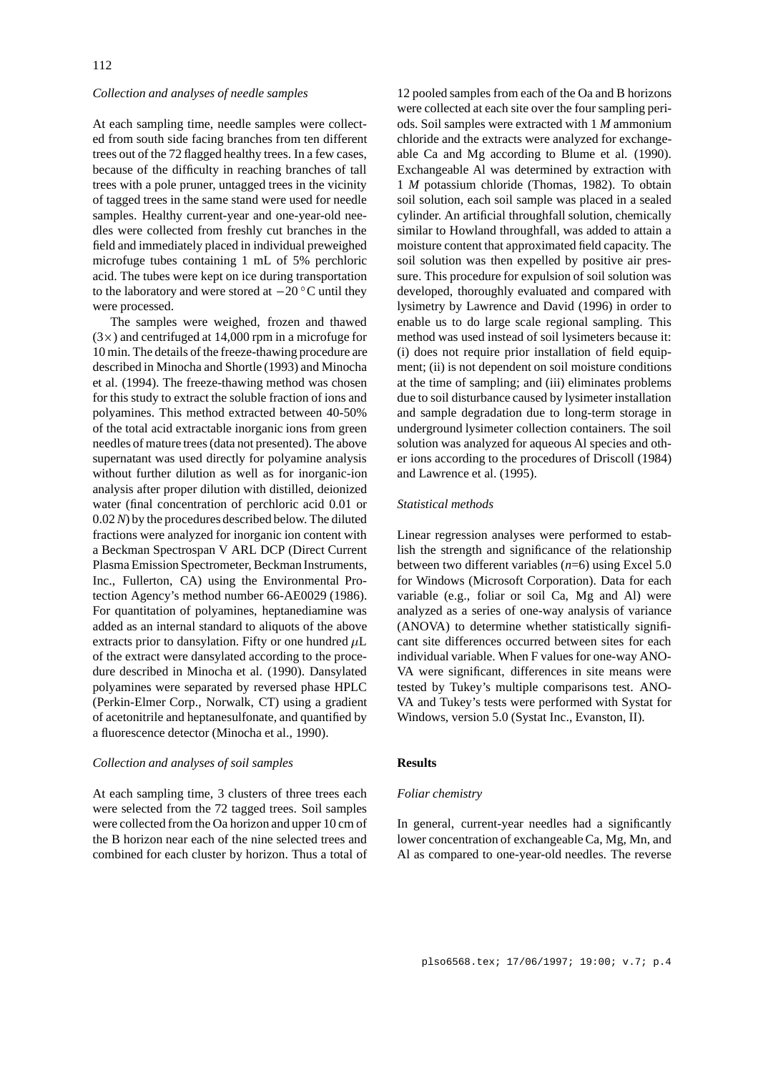## *Collection and analyses of needle samples*

At each sampling time, needle samples were collected from south side facing branches from ten different trees out of the 72 flagged healthy trees. In a few cases, because of the difficulty in reaching branches of tall trees with a pole pruner, untagged trees in the vicinity of tagged trees in the same stand were used for needle samples. Healthy current-year and one-year-old needles were collected from freshly cut branches in the field and immediately placed in individual preweighed microfuge tubes containing 1 mL of 5% perchloric acid. The tubes were kept on ice during transportation to the laboratory and were stored at  $-20\degree C$  until they were processed.

The samples were weighed, frozen and thawed  $(3\times)$  and centrifuged at 14,000 rpm in a microfuge for 10 min. The details of the freeze-thawing procedure are described in Minocha and Shortle (1993) and Minocha et al. (1994). The freeze-thawing method was chosen for this study to extract the soluble fraction of ions and polyamines. This method extracted between 40-50% of the total acid extractable inorganic ions from green needles of mature trees (data not presented). The above supernatant was used directly for polyamine analysis without further dilution as well as for inorganic-ion analysis after proper dilution with distilled, deionized water (final concentration of perchloric acid 0.01 or 0.02*N*) by the procedures described below. The diluted fractions were analyzed for inorganic ion content with a Beckman Spectrospan V ARL DCP (Direct Current Plasma Emission Spectrometer, Beckman Instruments, Inc., Fullerton, CA) using the Environmental Protection Agency's method number 66-AE0029 (1986). For quantitation of polyamines, heptanediamine was added as an internal standard to aliquots of the above extracts prior to dansylation. Fifty or one hundred  $\mu$ L of the extract were dansylated according to the procedure described in Minocha et al. (1990). Dansylated polyamines were separated by reversed phase HPLC (Perkin-Elmer Corp., Norwalk, CT) using a gradient of acetonitrile and heptanesulfonate, and quantified by a fluorescence detector (Minocha et al., 1990).

## *Collection and analyses of soil samples*

At each sampling time, 3 clusters of three trees each were selected from the 72 tagged trees. Soil samples were collected from the Oa horizon and upper 10 cm of the B horizon near each of the nine selected trees and combined for each cluster by horizon. Thus a total of 12 pooled samples from each of the Oa and B horizons were collected at each site over the four sampling periods. Soil samples were extracted with 1 *M* ammonium chloride and the extracts were analyzed for exchangeable Ca and Mg according to Blume et al. (1990). Exchangeable Al was determined by extraction with 1 *M* potassium chloride (Thomas, 1982). To obtain soil solution, each soil sample was placed in a sealed cylinder. An artificial throughfall solution, chemically similar to Howland throughfall, was added to attain a moisture content that approximated field capacity. The soil solution was then expelled by positive air pressure. This procedure for expulsion of soil solution was developed, thoroughly evaluated and compared with lysimetry by Lawrence and David (1996) in order to enable us to do large scale regional sampling. This method was used instead of soil lysimeters because it: (i) does not require prior installation of field equipment; (ii) is not dependent on soil moisture conditions at the time of sampling; and (iii) eliminates problems due to soil disturbance caused by lysimeter installation and sample degradation due to long-term storage in underground lysimeter collection containers. The soil solution was analyzed for aqueous Al species and other ions according to the procedures of Driscoll (1984) and Lawrence et al. (1995).

#### *Statistical methods*

Linear regression analyses were performed to establish the strength and significance of the relationship between two different variables (*n*=6) using Excel 5.0 for Windows (Microsoft Corporation). Data for each variable (e.g., foliar or soil Ca, Mg and Al) were analyzed as a series of one-way analysis of variance (ANOVA) to determine whether statistically significant site differences occurred between sites for each individual variable. When F values for one-way ANO-VA were significant, differences in site means were tested by Tukey's multiple comparisons test. ANO-VA and Tukey's tests were performed with Systat for Windows, version 5.0 (Systat Inc., Evanston, II).

### **Results**

# *Foliar chemistry*

In general, current-year needles had a significantly lower concentration of exchangeable Ca, Mg, Mn, and Al as compared to one-year-old needles. The reverse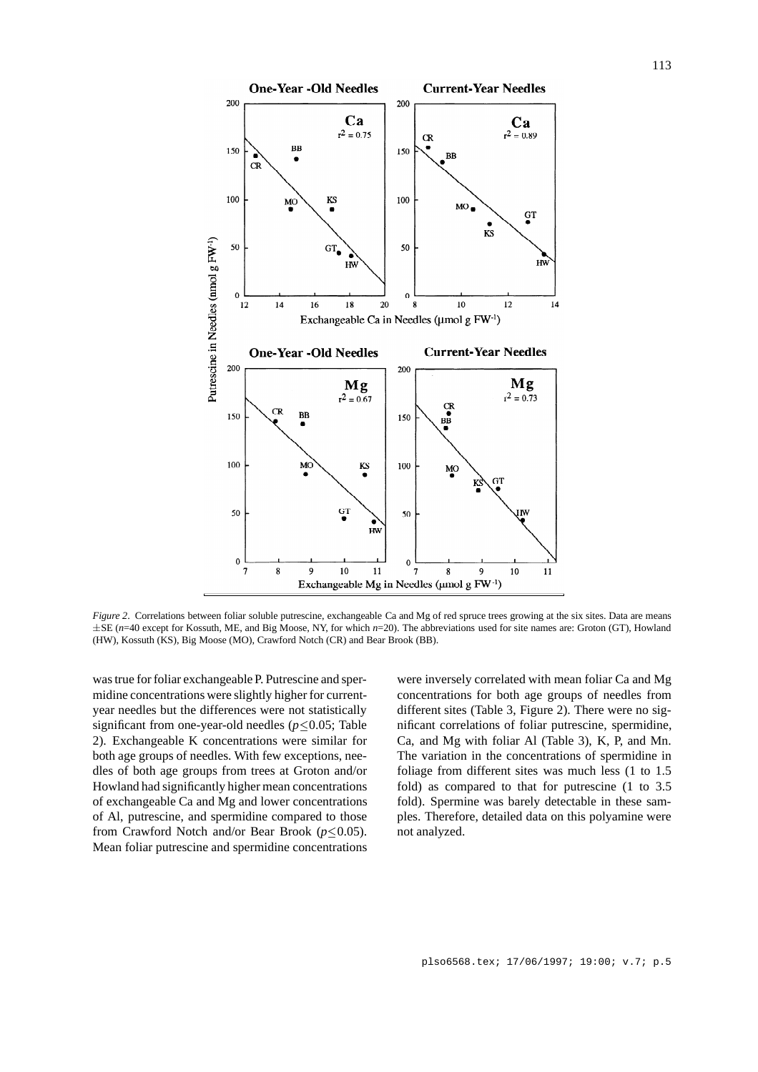

*Figure 2.* Correlations between foliar soluble putrescine, exchangeable Ca and Mg of red spruce trees growing at the six sites. Data are means SE (*n*=40 except for Kossuth, ME, and Big Moose, NY, for which *n*=20). The abbreviations used for site names are: Groton (GT), Howland (HW), Kossuth (KS), Big Moose (MO), Crawford Notch (CR) and Bear Brook (BB).

was true for foliar exchangeable P. Putrescine and spermidine concentrations were slightly higher for currentyear needles but the differences were not statistically significant from one-year-old needles  $(p \le 0.05$ ; Table 2). Exchangeable K concentrations were similar for both age groups of needles. With few exceptions, needles of both age groups from trees at Groton and/or Howland had significantly higher mean concentrations of exchangeable Ca and Mg and lower concentrations of Al, putrescine, and spermidine compared to those from Crawford Notch and/or Bear Brook  $(p<0.05)$ . Mean foliar putrescine and spermidine concentrations

were inversely correlated with mean foliar Ca and Mg concentrations for both age groups of needles from different sites (Table 3, Figure 2). There were no significant correlations of foliar putrescine, spermidine, Ca, and Mg with foliar Al (Table 3), K, P, and Mn. The variation in the concentrations of spermidine in foliage from different sites was much less (1 to 1.5 fold) as compared to that for putrescine (1 to 3.5 fold). Spermine was barely detectable in these samples. Therefore, detailed data on this polyamine were not analyzed.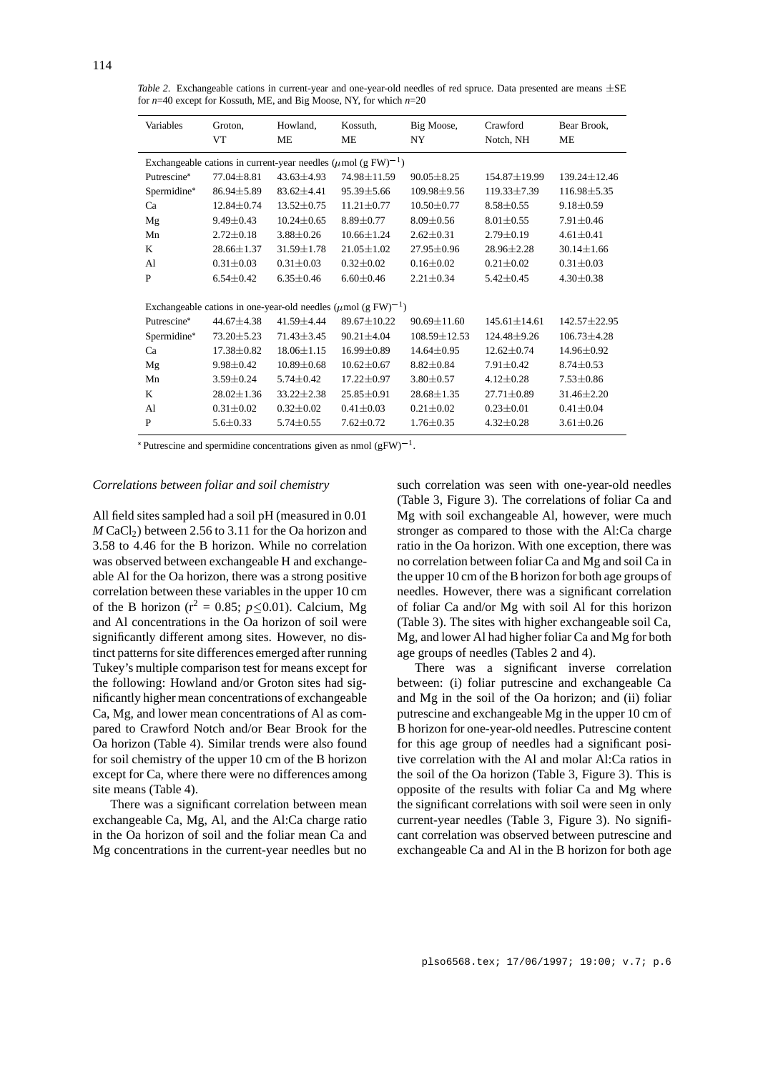| Variables                                                                          | Groton.<br><b>VT</b> | Howland,<br>Kossuth,<br><b>ME</b><br><b>ME</b> |                  | Big Moose,<br>NY | Crawford<br>Notch, NH | Bear Brook,<br>ME  |  |  |  |
|------------------------------------------------------------------------------------|----------------------|------------------------------------------------|------------------|------------------|-----------------------|--------------------|--|--|--|
| Exchangeable cations in current-year needles ( $\mu$ mol (g FW) <sup>-1</sup> )    |                      |                                                |                  |                  |                       |                    |  |  |  |
| Putrescine*                                                                        | $77.04 + 8.81$       | $43.63 \pm 4.93$                               | $74.98 + 11.59$  | $90.05 + 8.25$   | $154.87 \pm 19.99$    | $139.24 \pm 12.46$ |  |  |  |
| Spermidine*                                                                        | $86.94 \pm 5.89$     | $83.62 \pm 4.41$                               | $95.39 \pm 5.66$ | 109.98±9.56      | $119.33 \pm 7.39$     | $116.98 \pm 5.35$  |  |  |  |
| Ca                                                                                 | $12.84 + 0.74$       | $13.52 \pm 0.75$                               | $11.21 + 0.77$   | $10.50 \pm 0.77$ | $8.58 + 0.55$         | $9.18 + 0.59$      |  |  |  |
| Mg                                                                                 | $9.49 \pm 0.43$      | $10.24 \pm 0.65$                               | $8.89 \pm 0.77$  | $8.09 \pm 0.56$  | $8.01 \pm 0.55$       | $7.91 \pm 0.46$    |  |  |  |
| Mn                                                                                 | $2.72 \pm 0.18$      | $3.88 + 0.26$                                  | $10.66 + 1.24$   | $2.62 \pm 0.31$  | $2.79 \pm 0.19$       | $4.61 + 0.41$      |  |  |  |
| K                                                                                  | $28.66 \pm 1.37$     | $31.59 \pm 1.78$                               | $21.05 \pm 1.02$ | $27.95 \pm 0.96$ | $28.96 \pm 2.28$      | $30.14 \pm 1.66$   |  |  |  |
| A <sub>1</sub>                                                                     | $0.31 \pm 0.03$      | $0.31 \pm 0.03$                                | $0.32 \pm 0.02$  | $0.16 + 0.02$    | $0.21 \pm 0.02$       | $0.31 \pm 0.03$    |  |  |  |
| P                                                                                  | $6.54 \pm 0.42$      | $6.35 \pm 0.46$                                | $6.60 + 0.46$    | $2.21 \pm 0.34$  | $5.42 + 0.45$         | $4.30 \pm 0.38$    |  |  |  |
| Exchangeable cations in one-year-old needles $(\mu \text{mol} (g \text{FW})^{-1})$ |                      |                                                |                  |                  |                       |                    |  |  |  |
| Putrescine*                                                                        | $44.67 + 4.38$       | $41.59 + 4.44$                                 | $89.67 + 10.22$  | $90.69 + 11.60$  | $145.61 + 14.61$      | $142.57 + 22.95$   |  |  |  |
| Spermidine*                                                                        | $73.20 \pm 5.23$     | $71.43 \pm 3.45$                               | $90.21 \pm 4.04$ | $108.59 + 12.53$ | $124.48 + 9.26$       | $106.73 + 4.28$    |  |  |  |
| Ca                                                                                 | $17.38 \pm 0.82$     | $18.06 \pm 1.15$                               | $16.99 \pm 0.89$ | $14.64 \pm 0.95$ | $12.62 \pm 0.74$      | $14.96 \pm 0.92$   |  |  |  |
| Mg                                                                                 | $9.98 \pm 0.42$      | $10.89 \pm 0.68$                               | $10.62 \pm 0.67$ | $8.82 \pm 0.84$  | $7.91 \pm 0.42$       | $8.74 \pm 0.53$    |  |  |  |
| Mn                                                                                 | $3.59 \pm 0.24$      | $5.74 \pm 0.42$                                | $17.22 \pm 0.97$ | $3.80 \pm 0.57$  | $4.12 + 0.28$         | $7.53 \pm 0.86$    |  |  |  |
| K                                                                                  | $28.02 \pm 1.36$     | $33.22 \pm 2.38$                               | $25.85 \pm 0.91$ | $28.68 \pm 1.35$ | $27.71 \pm 0.89$      | $31.46 \pm 2.20$   |  |  |  |
| A <sub>1</sub>                                                                     | $0.31 + 0.02$        | $0.32 \pm 0.02$                                | $0.41 \pm 0.03$  | $0.21 \pm 0.02$  | $0.23 \pm 0.01$       | $0.41 + 0.04$      |  |  |  |
| P                                                                                  | $5.6 + 0.33$         | $5.74 + 0.55$                                  | $7.62 + 0.72$    | $1.76 \pm 0.35$  | $4.32 + 0.28$         | $3.61 + 0.26$      |  |  |  |

*Table 2.* Exchangeable cations in current-year and one-year-old needles of red spruce. Data presented are means  $\pm$ SE for *n*=40 except for Kossuth, ME, and Big Moose, NY, for which *n*=20

\*Putrescine and spermidine concentrations given as nmol  $(gFW)^{-1}$ .

### *Correlations between foliar and soil chemistry*

All field sites sampled had a soil pH (measured in 0.01  $M$  CaCl<sub>2</sub>) between 2.56 to 3.11 for the Oa horizon and 3.58 to 4.46 for the B horizon. While no correlation was observed between exchangeable H and exchangeable Al for the Oa horizon, there was a strong positive correlation between these variables in the upper 10 cm of the B horizon ( $r^2 = 0.85$ ;  $p \le 0.01$ ). Calcium, Mg and Al concentrations in the Oa horizon of soil were significantly different among sites. However, no distinct patterns for site differences emerged after running Tukey's multiple comparison test for means except for the following: Howland and/or Groton sites had significantly higher mean concentrations of exchangeable Ca, Mg, and lower mean concentrations of Al as compared to Crawford Notch and/or Bear Brook for the Oa horizon (Table 4). Similar trends were also found for soil chemistry of the upper 10 cm of the B horizon except for Ca, where there were no differences among site means (Table 4).

There was a significant correlation between mean exchangeable Ca, Mg, Al, and the Al:Ca charge ratio in the Oa horizon of soil and the foliar mean Ca and Mg concentrations in the current-year needles but no

such correlation was seen with one-year-old needles (Table 3, Figure 3). The correlations of foliar Ca and Mg with soil exchangeable Al, however, were much stronger as compared to those with the Al:Ca charge ratio in the Oa horizon. With one exception, there was no correlation between foliar Ca and Mg and soil Ca in the upper 10 cm of the B horizon for both age groups of needles. However, there was a significant correlation of foliar Ca and/or Mg with soil Al for this horizon (Table 3). The sites with higher exchangeable soil Ca, Mg, and lower Al had higher foliar Ca and Mg for both age groups of needles (Tables 2 and 4).

There was a significant inverse correlation between: (i) foliar putrescine and exchangeable Ca and Mg in the soil of the Oa horizon; and (ii) foliar putrescine and exchangeable Mg in the upper 10 cm of B horizon for one-year-old needles. Putrescine content for this age group of needles had a significant positive correlation with the Al and molar Al:Ca ratios in the soil of the Oa horizon (Table 3, Figure 3). This is opposite of the results with foliar Ca and Mg where the significant correlations with soil were seen in only current-year needles (Table 3, Figure 3). No significant correlation was observed between putrescine and exchangeable Ca and Al in the B horizon for both age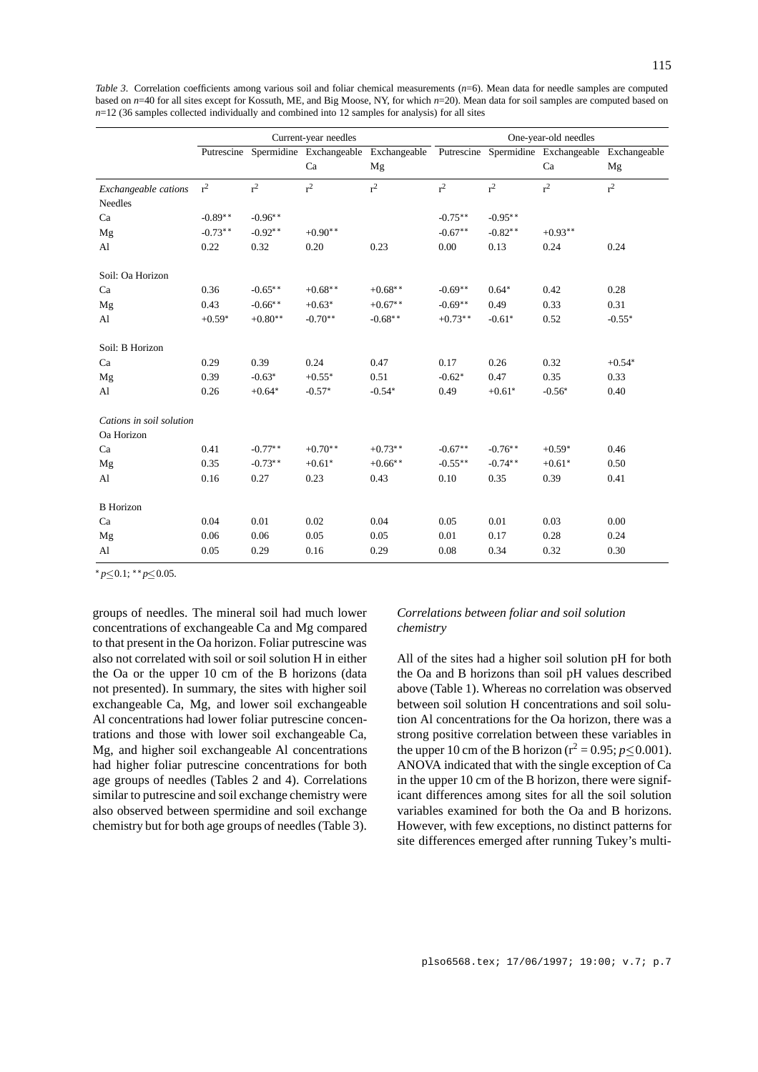|                          |           |            | Current-year needles |                                                                                                 | One-year-old needles |            |           |          |
|--------------------------|-----------|------------|----------------------|-------------------------------------------------------------------------------------------------|----------------------|------------|-----------|----------|
|                          |           |            |                      | Putrescine Spermidine Exchangeable Exchangeable Putrescine Spermidine Exchangeable Exchangeable |                      |            |           |          |
|                          |           |            | Ca                   | Mg                                                                                              |                      |            | Ca        | Mg       |
| Exchangeable cations     | $r^2$     | $r^2$      | $r^2$                | $r^2$                                                                                           | $r^2$                | $r^2$      | $r^2$     | $r^2$    |
| <b>Needles</b>           |           |            |                      |                                                                                                 |                      |            |           |          |
| Ca                       | $-0.89**$ | $-0.96***$ |                      |                                                                                                 | $-0.75***$           | $-0.95***$ |           |          |
| Mg                       | $-0.73**$ | $-0.92**$  | $+0.90**$            |                                                                                                 | $-0.67**$            | $-0.82**$  | $+0.93**$ |          |
| Al                       | 0.22      | 0.32       | 0.20                 | 0.23                                                                                            | 0.00                 | 0.13       | 0.24      | 0.24     |
| Soil: Oa Horizon         |           |            |                      |                                                                                                 |                      |            |           |          |
| Ca                       | 0.36      | $-0.65**$  | $+0.68***$           | $+0.68$ **                                                                                      | $-0.69**$            | $0.64*$    | 0.42      | 0.28     |
| Mg                       | 0.43      | $-0.66$ ** | $+0.63*$             | $+0.67$ **                                                                                      | $-0.69**$            | 0.49       | 0.33      | 0.31     |
| Al                       | $+0.59*$  | $+0.80**$  | $-0.70**$            | $-0.68***$                                                                                      | $+0.73**$            | $-0.61*$   | 0.52      | $-0.55*$ |
| Soil: B Horizon          |           |            |                      |                                                                                                 |                      |            |           |          |
| Ca                       | 0.29      | 0.39       | 0.24                 | 0.47                                                                                            | 0.17                 | 0.26       | 0.32      | $+0.54*$ |
| Mg                       | 0.39      | $-0.63*$   | $+0.55*$             | 0.51                                                                                            | $-0.62*$             | 0.47       | 0.35      | 0.33     |
| Al                       | 0.26      | $+0.64*$   | $-0.57*$             | $-0.54*$                                                                                        | 0.49                 | $+0.61*$   | $-0.56*$  | 0.40     |
| Cations in soil solution |           |            |                      |                                                                                                 |                      |            |           |          |
| Oa Horizon               |           |            |                      |                                                                                                 |                      |            |           |          |
| Ca                       | 0.41      | $-0.77**$  | $+0.70**$            | $+0.73$ **                                                                                      | $-0.67**$            | $-0.76***$ | $+0.59*$  | 0.46     |
| Mg                       | 0.35      | $-0.73**$  | $+0.61*$             | $+0.66$ **                                                                                      | $-0.55***$           | $-0.74***$ | $+0.61*$  | 0.50     |
| Al                       | 0.16      | 0.27       | 0.23                 | 0.43                                                                                            | 0.10                 | 0.35       | 0.39      | 0.41     |
| <b>B</b> Horizon         |           |            |                      |                                                                                                 |                      |            |           |          |
| Ca                       | 0.04      | 0.01       | 0.02                 | 0.04                                                                                            | 0.05                 | 0.01       | 0.03      | 0.00     |
| Mg                       | 0.06      | 0.06       | 0.05                 | 0.05                                                                                            | 0.01                 | 0.17       | 0.28      | 0.24     |
| Al                       | 0.05      | 0.29       | 0.16                 | 0.29                                                                                            | 0.08                 | 0.34       | 0.32      | 0.30     |

*Table 3*. Correlation coefficients among various soil and foliar chemical measurements (*n*=6). Mean data for needle samples are computed based on *n*=40 for all sites except for Kossuth, ME, and Big Moose, NY, for which *n*=20). Mean data for soil samples are computed based on  $n=12$  (36 samples collected individually and combined into 12 samples for analysis) for all sites

 $^{*}p \leq 0.1$ ;  $^{*}p \leq 0.05$ .

groups of needles. The mineral soil had much lower concentrations of exchangeable Ca and Mg compared to that present in the Oa horizon. Foliar putrescine was also not correlated with soil or soil solution H in either the Oa or the upper 10 cm of the B horizons (data not presented). In summary, the sites with higher soil exchangeable Ca, Mg, and lower soil exchangeable Al concentrations had lower foliar putrescine concentrations and those with lower soil exchangeable Ca, Mg, and higher soil exchangeable Al concentrations had higher foliar putrescine concentrations for both age groups of needles (Tables 2 and 4). Correlations similar to putrescine and soil exchange chemistry were also observed between spermidine and soil exchange chemistry but for both age groups of needles (Table 3).

# *Correlations between foliar and soil solution chemistry*

All of the sites had a higher soil solution pH for both the Oa and B horizons than soil pH values described above (Table 1). Whereas no correlation was observed between soil solution H concentrations and soil solution Al concentrations for the Oa horizon, there was a strong positive correlation between these variables in the upper 10 cm of the B horizon ( $r^2 = 0.95$ ;  $p \le 0.001$ ). ANOVA indicated that with the single exception of Ca in the upper 10 cm of the B horizon, there were significant differences among sites for all the soil solution variables examined for both the Oa and B horizons. However, with few exceptions, no distinct patterns for site differences emerged after running Tukey's multi-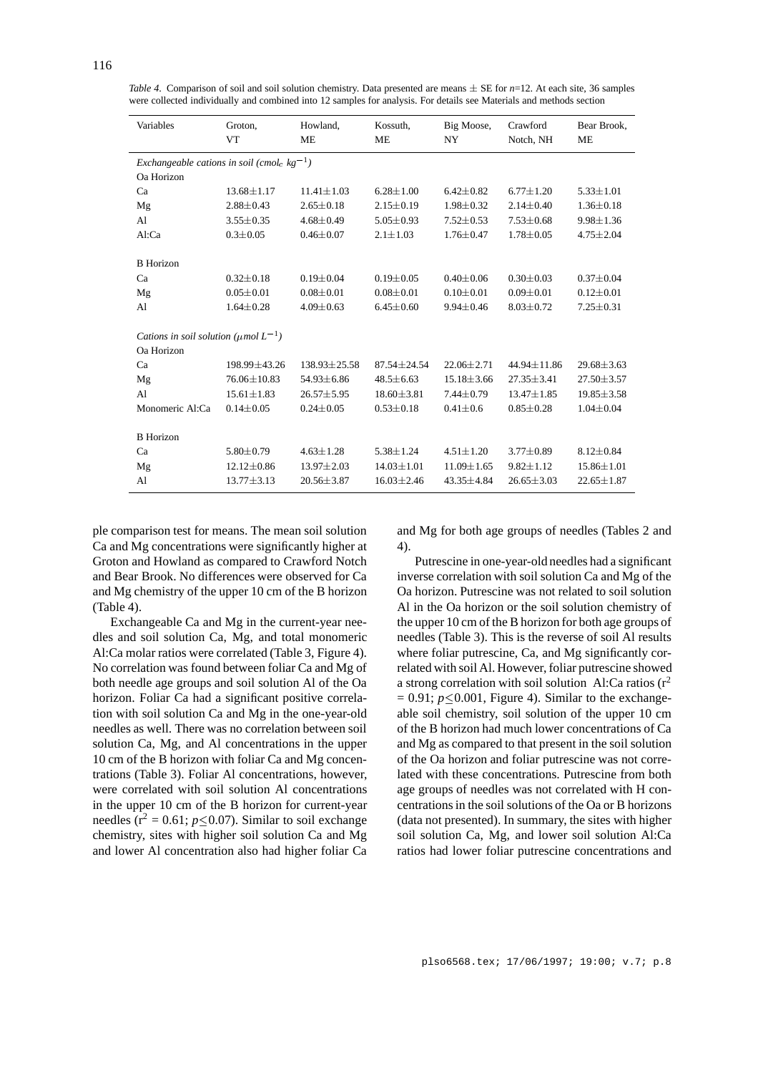| Variables                                                   | Groton,<br>VT     | Howland,<br>ME     | Kossuth,<br>ME    | Big Moose,<br><b>NY</b> | Crawford<br>Notch, NH | Bear Brook,<br>ME |  |  |  |  |
|-------------------------------------------------------------|-------------------|--------------------|-------------------|-------------------------|-----------------------|-------------------|--|--|--|--|
| Exchangeable cations in soil (cmol <sub>c</sub> $kg^{-1}$ ) |                   |                    |                   |                         |                       |                   |  |  |  |  |
| Oa Horizon                                                  |                   |                    |                   |                         |                       |                   |  |  |  |  |
| Ca                                                          | $13.68 \pm 1.17$  | $11.41 \pm 1.03$   | $6.28 \pm 1.00$   | $6.42 \pm 0.82$         | $6.77 \pm 1.20$       | $5.33 \pm 1.01$   |  |  |  |  |
| Mg                                                          | $2.88 \pm 0.43$   | $2.65 \pm 0.18$    | $2.15 \pm 0.19$   | $1.98 \pm 0.32$         | $2.14 \pm 0.40$       | $1.36 \pm 0.18$   |  |  |  |  |
| Al                                                          | $3.55 \pm 0.35$   | $4.68 \pm 0.49$    | $5.05 \pm 0.93$   | $7.52 \pm 0.53$         | $7.53 \pm 0.68$       | $9.98 \pm 1.36$   |  |  |  |  |
| Al:Ca                                                       | $0.3 \pm 0.05$    | $0.46 \pm 0.07$    | $2.1 \pm 1.03$    | $1.76 \pm 0.47$         | $1.78 \pm 0.05$       | $4.75 \pm 2.04$   |  |  |  |  |
|                                                             |                   |                    |                   |                         |                       |                   |  |  |  |  |
| <b>B</b> Horizon                                            |                   |                    |                   |                         |                       |                   |  |  |  |  |
| Ca                                                          | $0.32 \pm 0.18$   | $0.19 \pm 0.04$    | $0.19 \pm 0.05$   | $0.40 \pm 0.06$         | $0.30 \pm 0.03$       | $0.37 \pm 0.04$   |  |  |  |  |
| Mg                                                          | $0.05 \pm 0.01$   | $0.08 \pm 0.01$    | $0.08 \pm 0.01$   | $0.10 \pm 0.01$         | $0.09 \pm 0.01$       | $0.12 \pm 0.01$   |  |  |  |  |
| Al                                                          | $1.64 \pm 0.28$   | $4.09 \pm 0.63$    | $6.45 \pm 0.60$   | $9.94 \pm 0.46$         | $8.03 \pm 0.72$       | $7.25 \pm 0.31$   |  |  |  |  |
|                                                             |                   |                    |                   |                         |                       |                   |  |  |  |  |
| Cations in soil solution ( $\mu$ mol $L^{-1}$ )             |                   |                    |                   |                         |                       |                   |  |  |  |  |
| Oa Horizon                                                  |                   |                    |                   |                         |                       |                   |  |  |  |  |
| Ca                                                          | 198.99±43.26      | $138.93 \pm 25.58$ | $87.54 \pm 24.54$ | $22.06 \pm 2.71$        | 44.94±11.86           | $29.68 \pm 3.63$  |  |  |  |  |
| Mg                                                          | $76.06 \pm 10.83$ | $54.93 \pm 6.86$   | $48.5 \pm 6.63$   | $15.18 \pm 3.66$        | $27.35 \pm 3.41$      | $27.50 \pm 3.57$  |  |  |  |  |
| Al                                                          | $15.61 \pm 1.83$  | $26.57 \pm 5.95$   | $18.60 \pm 3.81$  | $7.44 \pm 0.79$         | $13.47 \pm 1.85$      | $19.85 \pm 3.58$  |  |  |  |  |
| Monomeric Al:Ca                                             | $0.14 \pm 0.05$   | $0.24 \pm 0.05$    | $0.53 \pm 0.18$   | $0.41 \pm 0.6$          | $0.85 \pm 0.28$       | $1.04 \pm 0.04$   |  |  |  |  |
|                                                             |                   |                    |                   |                         |                       |                   |  |  |  |  |
| <b>B</b> Horizon                                            |                   |                    |                   |                         |                       |                   |  |  |  |  |
| Ca                                                          | $5.80 \pm 0.79$   | $4.63 \pm 1.28$    | $5.38 \pm 1.24$   | $4.51 \pm 1.20$         | $3.77 \pm 0.89$       | $8.12 \pm 0.84$   |  |  |  |  |
| Mg                                                          | $12.12 \pm 0.86$  | $13.97 \pm 2.03$   | $14.03 \pm 1.01$  | $11.09 \pm 1.65$        | $9.82 \pm 1.12$       | $15.86 \pm 1.01$  |  |  |  |  |
| Al                                                          | $13.77 \pm 3.13$  | $20.56 \pm 3.87$   | $16.03 \pm 2.46$  | $43.35 \pm 4.84$        | $26.65 \pm 3.03$      | $22.65 \pm 1.87$  |  |  |  |  |

*Table 4.* Comparison of soil and soil solution chemistry. Data presented are means  $\pm$  SE for  $n=12$ . At each site, 36 samples were collected individually and combined into 12 samples for analysis. For details see Materials and methods section

ple comparison test for means. The mean soil solution Ca and Mg concentrations were significantly higher at Groton and Howland as compared to Crawford Notch and Bear Brook. No differences were observed for Ca and Mg chemistry of the upper 10 cm of the B horizon (Table 4).

Exchangeable Ca and Mg in the current-year needles and soil solution Ca, Mg, and total monomeric Al:Ca molar ratios were correlated (Table 3, Figure 4). No correlation was found between foliar Ca and Mg of both needle age groups and soil solution Al of the Oa horizon. Foliar Ca had a significant positive correlation with soil solution Ca and Mg in the one-year-old needles as well. There was no correlation between soil solution Ca, Mg, and Al concentrations in the upper 10 cm of the B horizon with foliar Ca and Mg concentrations (Table 3). Foliar Al concentrations, however, were correlated with soil solution Al concentrations in the upper 10 cm of the B horizon for current-year needles ( $r^2 = 0.61$ ;  $p \le 0.07$ ). Similar to soil exchange chemistry, sites with higher soil solution Ca and Mg and lower Al concentration also had higher foliar Ca

and Mg for both age groups of needles (Tables 2 and 4).

Putrescine in one-year-old needles had a significant inverse correlation with soil solution Ca and Mg of the Oa horizon. Putrescine was not related to soil solution Al in the Oa horizon or the soil solution chemistry of the upper 10 cm of the B horizon for both age groups of needles (Table 3). This is the reverse of soil Al results where foliar putrescine, Ca, and Mg significantly correlated with soil Al. However, foliar putrescine showed a strong correlation with soil solution Al:Ca ratios (r<sup>2</sup>  $= 0.91$ ;  $p \le 0.001$ , Figure 4). Similar to the exchangeable soil chemistry, soil solution of the upper 10 cm of the B horizon had much lower concentrations of Ca and Mg as compared to that present in the soil solution of the Oa horizon and foliar putrescine was not correlated with these concentrations. Putrescine from both age groups of needles was not correlated with H concentrations in the soil solutions of the Oa or B horizons (data not presented). In summary, the sites with higher soil solution Ca, Mg, and lower soil solution Al:Ca ratios had lower foliar putrescine concentrations and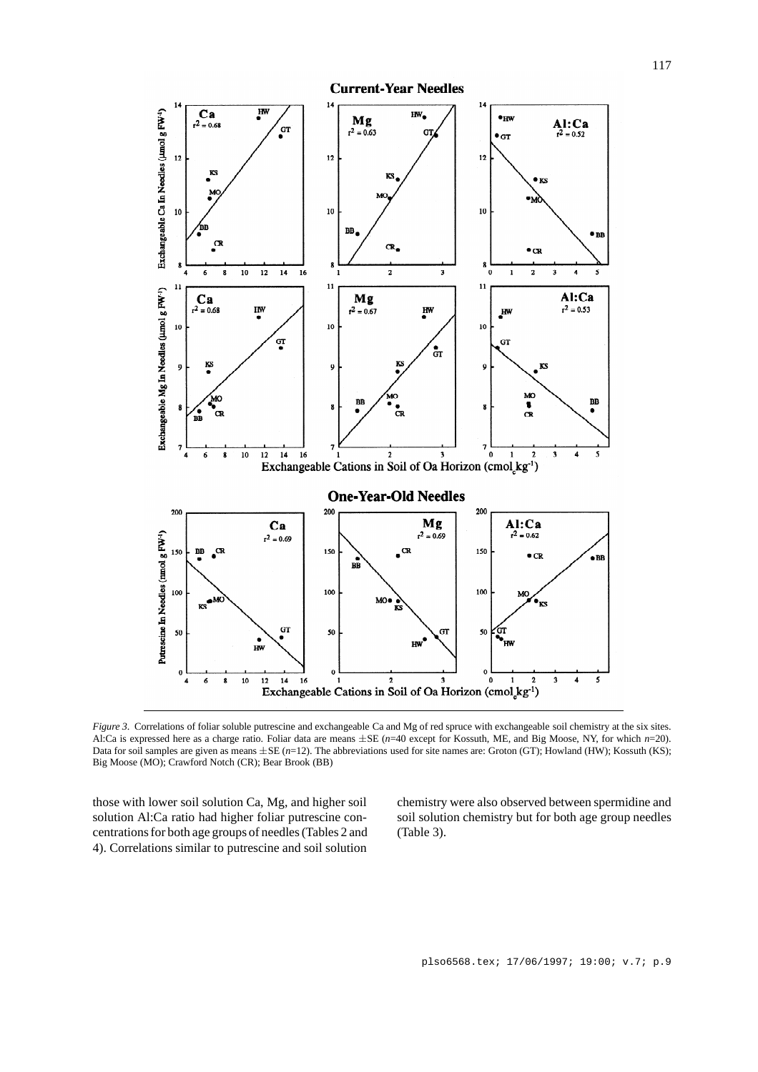

*Figure 3*. Correlations of foliar soluble putrescine and exchangeable Ca and Mg of red spruce with exchangeable soil chemistry at the six sites. Al:Ca is expressed here as a charge ratio. Foliar data are means  $\pm$ SE (*n*=40 except for Kossuth, ME, and Big Moose, NY, for which *n*=20). Data for soil samples are given as means  $\pm$  SE (*n*=12). The abbreviations used for site names are: Groton (GT); Howland (HW); Kossuth (KS); Big Moose (MO); Crawford Notch (CR); Bear Brook (BB)

those with lower soil solution Ca, Mg, and higher soil solution Al:Ca ratio had higher foliar putrescine concentrations for both age groups of needles (Tables 2 and 4). Correlations similar to putrescine and soil solution

chemistry were also observed between spermidine and soil solution chemistry but for both age group needles (Table 3).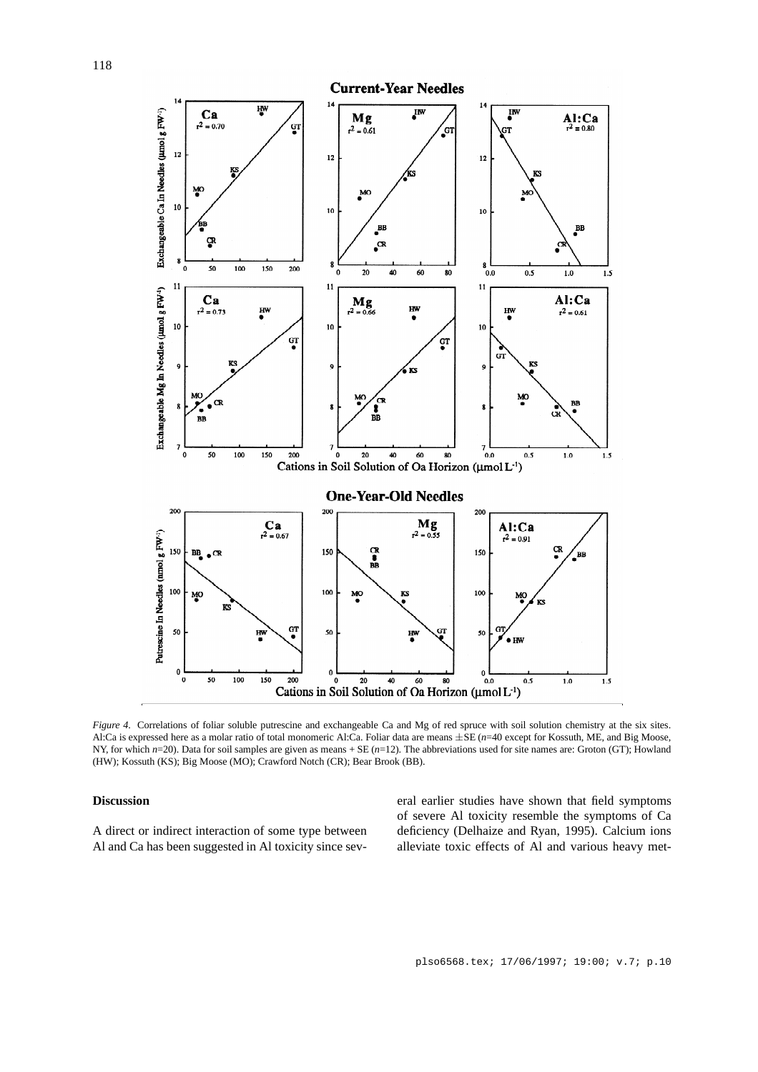

*Figure 4*. Correlations of foliar soluble putrescine and exchangeable Ca and Mg of red spruce with soil solution chemistry at the six sites. Al:Ca is expressed here as a molar ratio of total monomeric Al:Ca. Foliar data are means  $\pm$ SE ( $n=40$  except for Kossuth, ME, and Big Moose, NY, for which  $n=20$ ). Data for soil samples are given as means + SE ( $n=12$ ). The abbreviations used for site names are: Groton (GT); Howland (HW); Kossuth (KS); Big Moose (MO); Crawford Notch (CR); Bear Brook (BB).

## **Discussion**

A direct or indirect interaction of some type between Al and Ca has been suggested in Al toxicity since several earlier studies have shown that field symptoms of severe Al toxicity resemble the symptoms of Ca deficiency (Delhaize and Ryan, 1995). Calcium ions alleviate toxic effects of Al and various heavy met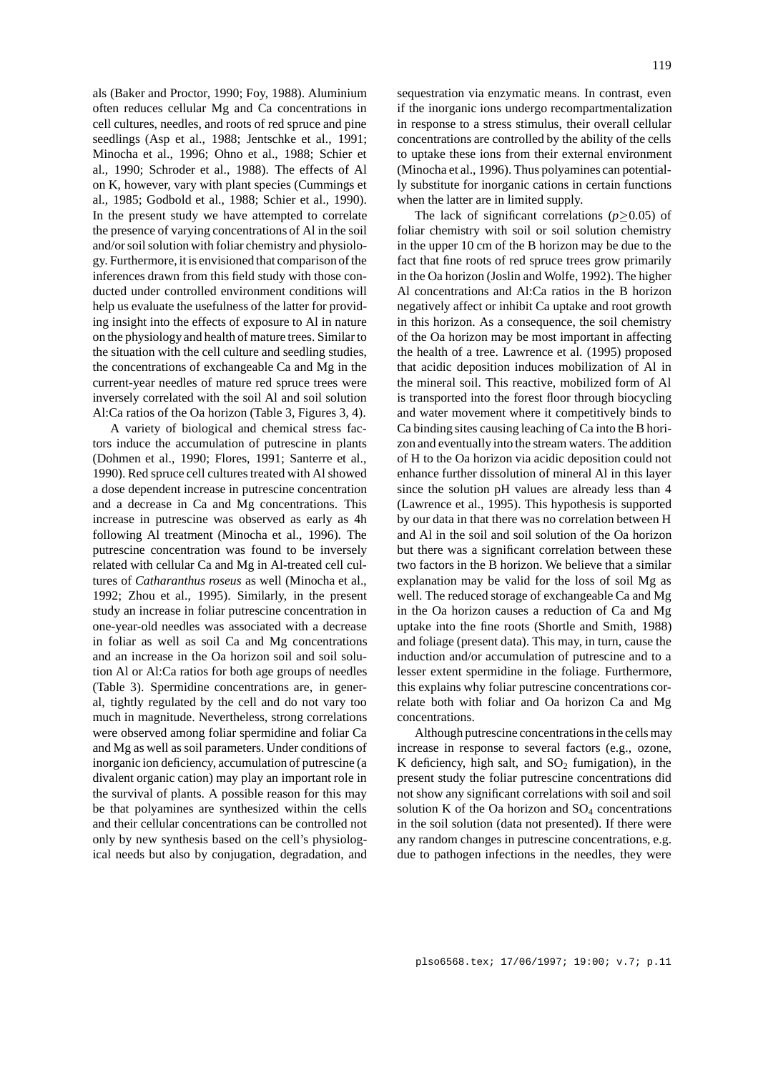als (Baker and Proctor, 1990; Foy, 1988). Aluminium often reduces cellular Mg and Ca concentrations in cell cultures, needles, and roots of red spruce and pine seedlings (Asp et al., 1988; Jentschke et al., 1991; Minocha et al., 1996; Ohno et al., 1988; Schier et al., 1990; Schroder et al., 1988). The effects of Al on K, however, vary with plant species (Cummings et al., 1985; Godbold et al., 1988; Schier et al., 1990). In the present study we have attempted to correlate the presence of varying concentrations of Al in the soil and/or soil solution with foliar chemistry and physiology. Furthermore, it is envisioned that comparison of the inferences drawn from this field study with those conducted under controlled environment conditions will help us evaluate the usefulness of the latter for providing insight into the effects of exposure to Al in nature on the physiology and health of mature trees. Similar to the situation with the cell culture and seedling studies, the concentrations of exchangeable Ca and Mg in the current-year needles of mature red spruce trees were inversely correlated with the soil Al and soil solution Al:Ca ratios of the Oa horizon (Table 3, Figures 3, 4).

A variety of biological and chemical stress factors induce the accumulation of putrescine in plants (Dohmen et al., 1990; Flores, 1991; Santerre et al., 1990). Red spruce cell cultures treated with Al showed a dose dependent increase in putrescine concentration and a decrease in Ca and Mg concentrations. This increase in putrescine was observed as early as 4h following Al treatment (Minocha et al., 1996). The putrescine concentration was found to be inversely related with cellular Ca and Mg in Al-treated cell cultures of *Catharanthus roseus* as well (Minocha et al., 1992; Zhou et al., 1995). Similarly, in the present study an increase in foliar putrescine concentration in one-year-old needles was associated with a decrease in foliar as well as soil Ca and Mg concentrations and an increase in the Oa horizon soil and soil solution Al or Al:Ca ratios for both age groups of needles (Table 3). Spermidine concentrations are, in general, tightly regulated by the cell and do not vary too much in magnitude. Nevertheless, strong correlations were observed among foliar spermidine and foliar Ca and Mg as well as soil parameters. Under conditions of inorganic ion deficiency, accumulation of putrescine (a divalent organic cation) may play an important role in the survival of plants. A possible reason for this may be that polyamines are synthesized within the cells and their cellular concentrations can be controlled not only by new synthesis based on the cell's physiological needs but also by conjugation, degradation, and sequestration via enzymatic means. In contrast, even if the inorganic ions undergo recompartmentalization in response to a stress stimulus, their overall cellular concentrations are controlled by the ability of the cells to uptake these ions from their external environment (Minocha et al., 1996). Thus polyamines can potentially substitute for inorganic cations in certain functions when the latter are in limited supply.

The lack of significant correlations  $(p>0.05)$  of foliar chemistry with soil or soil solution chemistry in the upper 10 cm of the B horizon may be due to the fact that fine roots of red spruce trees grow primarily in the Oa horizon (Joslin and Wolfe, 1992). The higher Al concentrations and Al:Ca ratios in the B horizon negatively affect or inhibit Ca uptake and root growth in this horizon. As a consequence, the soil chemistry of the Oa horizon may be most important in affecting the health of a tree. Lawrence et al. (1995) proposed that acidic deposition induces mobilization of Al in the mineral soil. This reactive, mobilized form of Al is transported into the forest floor through biocycling and water movement where it competitively binds to Ca binding sites causing leaching of Ca into the B horizon and eventually into the stream waters. The addition of H to the Oa horizon via acidic deposition could not enhance further dissolution of mineral Al in this layer since the solution pH values are already less than 4 (Lawrence et al., 1995). This hypothesis is supported by our data in that there was no correlation between H and Al in the soil and soil solution of the Oa horizon but there was a significant correlation between these two factors in the B horizon. We believe that a similar explanation may be valid for the loss of soil Mg as well. The reduced storage of exchangeable Ca and Mg in the Oa horizon causes a reduction of Ca and Mg uptake into the fine roots (Shortle and Smith, 1988) and foliage (present data). This may, in turn, cause the induction and/or accumulation of putrescine and to a lesser extent spermidine in the foliage. Furthermore, this explains why foliar putrescine concentrations correlate both with foliar and Oa horizon Ca and Mg concentrations.

Although putrescine concentrations in the cells may increase in response to several factors (e.g., ozone, K deficiency, high salt, and  $SO<sub>2</sub>$  fumigation), in the present study the foliar putrescine concentrations did not show any significant correlations with soil and soil solution K of the Oa horizon and  $SO_4$  concentrations in the soil solution (data not presented). If there were any random changes in putrescine concentrations, e.g. due to pathogen infections in the needles, they were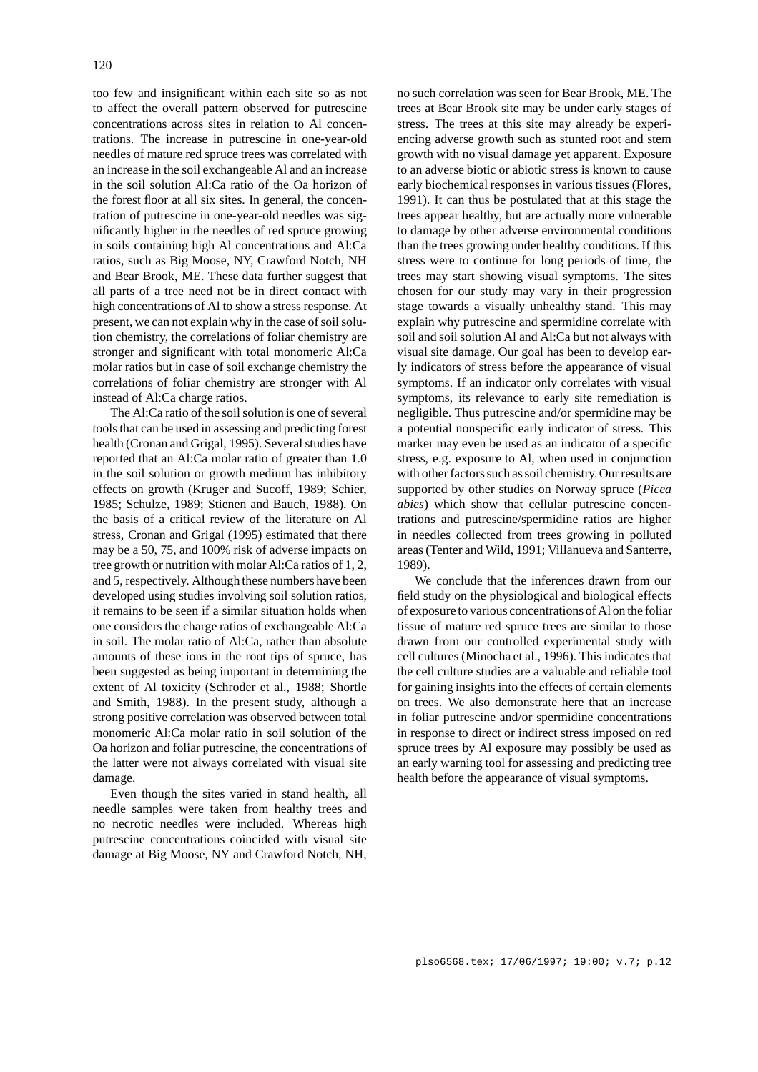too few and insignificant within each site so as not to affect the overall pattern observed for putrescine concentrations across sites in relation to Al concentrations. The increase in putrescine in one-year-old needles of mature red spruce trees was correlated with an increase in the soil exchangeable Al and an increase in the soil solution Al:Ca ratio of the Oa horizon of the forest floor at all six sites. In general, the concentration of putrescine in one-year-old needles was significantly higher in the needles of red spruce growing in soils containing high Al concentrations and Al:Ca ratios, such as Big Moose, NY, Crawford Notch, NH and Bear Brook, ME. These data further suggest that all parts of a tree need not be in direct contact with high concentrations of Al to show a stress response. At present, we can not explain why in the case of soil solution chemistry, the correlations of foliar chemistry are stronger and significant with total monomeric Al:Ca molar ratios but in case of soil exchange chemistry the correlations of foliar chemistry are stronger with Al instead of Al:Ca charge ratios.

The Al:Ca ratio of the soil solution is one of several tools that can be used in assessing and predicting forest health (Cronan and Grigal, 1995). Several studies have reported that an Al:Ca molar ratio of greater than 1.0 in the soil solution or growth medium has inhibitory effects on growth (Kruger and Sucoff, 1989; Schier, 1985; Schulze, 1989; Stienen and Bauch, 1988). On the basis of a critical review of the literature on Al stress, Cronan and Grigal (1995) estimated that there may be a 50, 75, and 100% risk of adverse impacts on tree growth or nutrition with molar Al:Ca ratios of 1, 2, and 5, respectively. Although these numbers have been developed using studies involving soil solution ratios, it remains to be seen if a similar situation holds when one considers the charge ratios of exchangeable Al:Ca in soil. The molar ratio of Al:Ca, rather than absolute amounts of these ions in the root tips of spruce, has been suggested as being important in determining the extent of Al toxicity (Schroder et al., 1988; Shortle and Smith, 1988). In the present study, although a strong positive correlation was observed between total monomeric Al:Ca molar ratio in soil solution of the Oa horizon and foliar putrescine, the concentrations of the latter were not always correlated with visual site damage.

Even though the sites varied in stand health, all needle samples were taken from healthy trees and no necrotic needles were included. Whereas high putrescine concentrations coincided with visual site damage at Big Moose, NY and Crawford Notch, NH, no such correlation was seen for Bear Brook, ME. The trees at Bear Brook site may be under early stages of stress. The trees at this site may already be experiencing adverse growth such as stunted root and stem growth with no visual damage yet apparent. Exposure to an adverse biotic or abiotic stress is known to cause early biochemical responses in various tissues (Flores, 1991). It can thus be postulated that at this stage the trees appear healthy, but are actually more vulnerable to damage by other adverse environmental conditions than the trees growing under healthy conditions. If this stress were to continue for long periods of time, the trees may start showing visual symptoms. The sites chosen for our study may vary in their progression stage towards a visually unhealthy stand. This may explain why putrescine and spermidine correlate with soil and soil solution Al and Al:Ca but not always with visual site damage. Our goal has been to develop early indicators of stress before the appearance of visual symptoms. If an indicator only correlates with visual symptoms, its relevance to early site remediation is negligible. Thus putrescine and/or spermidine may be a potential nonspecific early indicator of stress. This marker may even be used as an indicator of a specific stress, e.g. exposure to Al, when used in conjunction with other factors such as soil chemistry.Our results are supported by other studies on Norway spruce (*Picea abies*) which show that cellular putrescine concentrations and putrescine/spermidine ratios are higher in needles collected from trees growing in polluted areas (Tenter and Wild, 1991; Villanueva and Santerre, 1989).

We conclude that the inferences drawn from our field study on the physiological and biological effects of exposure to various concentrations of Al on the foliar tissue of mature red spruce trees are similar to those drawn from our controlled experimental study with cell cultures (Minocha et al., 1996). This indicates that the cell culture studies are a valuable and reliable tool for gaining insights into the effects of certain elements on trees. We also demonstrate here that an increase in foliar putrescine and/or spermidine concentrations in response to direct or indirect stress imposed on red spruce trees by Al exposure may possibly be used as an early warning tool for assessing and predicting tree health before the appearance of visual symptoms.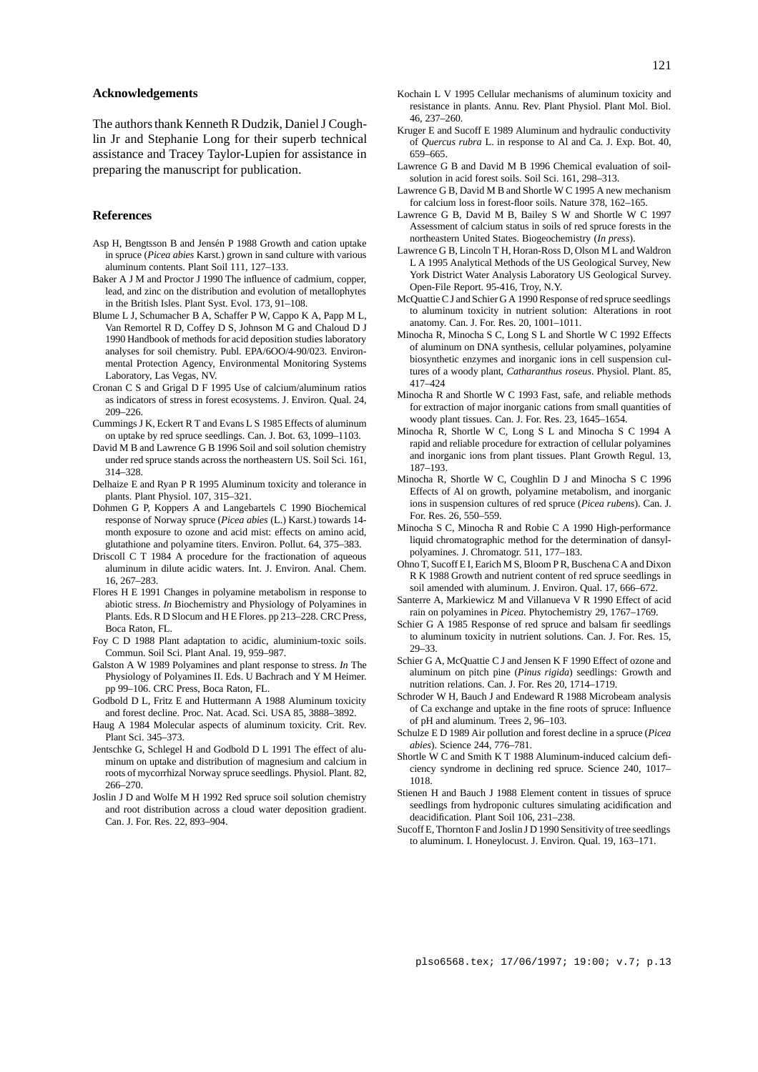#### **Acknowledgements**

The authors thank Kenneth R Dudzik, Daniel J Coughlin Jr and Stephanie Long for their superb technical assistance and Tracey Taylor-Lupien for assistance in preparing the manuscript for publication.

#### **References**

- Asp H, Bengtsson B and Jensén P 1988 Growth and cation uptake in spruce (*Picea abies* Karst.) grown in sand culture with various aluminum contents. Plant Soil 111, 127–133.
- Baker A J M and Proctor J 1990 The influence of cadmium, copper, lead, and zinc on the distribution and evolution of metallophytes in the British Isles. Plant Syst. Evol. 173, 91–108.
- Blume L J, Schumacher B A, Schaffer P W, Cappo K A, Papp M L, Van Remortel R D, Coffey D S, Johnson M G and Chaloud D J 1990 Handbook of methods for acid deposition studies laboratory analyses for soil chemistry. Publ. EPA/6OO/4-90/023. Environmental Protection Agency, Environmental Monitoring Systems Laboratory, Las Vegas, NV.
- Cronan C S and Grigal D F 1995 Use of calcium/aluminum ratios as indicators of stress in forest ecosystems. J. Environ. Qual. 24, 209–226.
- Cummings J K, Eckert R T and Evans L S 1985 Effects of aluminum on uptake by red spruce seedlings. Can. J. Bot. 63, 1099–1103.
- David M B and Lawrence G B 1996 Soil and soil solution chemistry under red spruce stands across the northeastern US. Soil Sci. 161, 314–328.
- Delhaize E and Ryan P R 1995 Aluminum toxicity and tolerance in plants. Plant Physiol. 107, 315–321.
- Dohmen G P, Koppers A and Langebartels C 1990 Biochemical response of Norway spruce (*Picea abies* (L.) Karst.) towards 14 month exposure to ozone and acid mist: effects on amino acid, glutathione and polyamine titers. Environ. Pollut. 64, 375–383.
- Driscoll C T 1984 A procedure for the fractionation of aqueous aluminum in dilute acidic waters. Int. J. Environ. Anal. Chem. 16, 267–283.
- Flores H E 1991 Changes in polyamine metabolism in response to abiotic stress. *In* Biochemistry and Physiology of Polyamines in Plants. Eds. R D Slocum and H E Flores. pp 213–228. CRC Press, Boca Raton, FL.
- Foy C D 1988 Plant adaptation to acidic, aluminium-toxic soils. Commun. Soil Sci. Plant Anal. 19, 959–987.
- Galston A W 1989 Polyamines and plant response to stress. *In* The Physiology of Polyamines II. Eds. U Bachrach and Y M Heimer. pp 99–106. CRC Press, Boca Raton, FL.
- Godbold D L, Fritz E and Huttermann A 1988 Aluminum toxicity and forest decline. Proc. Nat. Acad. Sci. USA 85, 3888–3892.
- Haug A 1984 Molecular aspects of aluminum toxicity. Crit. Rev. Plant Sci. 345–373.
- Jentschke G, Schlegel H and Godbold D L 1991 The effect of aluminum on uptake and distribution of magnesium and calcium in roots of mycorrhizal Norway spruce seedlings. Physiol. Plant. 82, 266–270.
- Joslin J D and Wolfe M H 1992 Red spruce soil solution chemistry and root distribution across a cloud water deposition gradient. Can. J. For. Res. 22, 893–904.
- Kochain L V 1995 Cellular mechanisms of aluminum toxicity and resistance in plants. Annu. Rev. Plant Physiol. Plant Mol. Biol. 46, 237–260.
- Kruger E and Sucoff E 1989 Aluminum and hydraulic conductivity of *Quercus rubra* L. in response to Al and Ca. J. Exp. Bot. 40, 659–665.
- Lawrence G B and David M B 1996 Chemical evaluation of soilsolution in acid forest soils. Soil Sci. 161, 298–313.
- Lawrence G B, David M B and Shortle W C 1995 A new mechanism for calcium loss in forest-floor soils. Nature 378, 162–165.
- Lawrence G B, David M B, Bailey S W and Shortle W C 1997 Assessment of calcium status in soils of red spruce forests in the northeastern United States. Biogeochemistry (*In press*).
- Lawrence G B, Lincoln T H, Horan-Ross D, Olson M L and Waldron L A 1995 Analytical Methods of the US Geological Survey, New York District Water Analysis Laboratory US Geological Survey. Open-File Report. 95-416, Troy, N.Y.
- McQuattie C J and Schier G A 1990 Response of red spruce seedlings to aluminum toxicity in nutrient solution: Alterations in root anatomy. Can. J. For. Res. 20, 1001–1011.
- Minocha R, Minocha S C, Long S L and Shortle W C 1992 Effects of aluminum on DNA synthesis, cellular polyamines, polyamine biosynthetic enzymes and inorganic ions in cell suspension cultures of a woody plant, *Catharanthus roseus*. Physiol. Plant. 85, 417–424
- Minocha R and Shortle W C 1993 Fast, safe, and reliable methods for extraction of major inorganic cations from small quantities of woody plant tissues. Can. J. For. Res. 23, 1645–1654.
- Minocha R, Shortle W C, Long S L and Minocha S C 1994 A rapid and reliable procedure for extraction of cellular polyamines and inorganic ions from plant tissues. Plant Growth Regul. 13, 187–193.
- Minocha R, Shortle W C, Coughlin D J and Minocha S C 1996 Effects of Al on growth, polyamine metabolism, and inorganic ions in suspension cultures of red spruce (*Picea rubens*). Can. J. For. Res. 26, 550–559.
- Minocha S C, Minocha R and Robie C A 1990 High-performance liquid chromatographic method for the determination of dansylpolyamines. J. Chromatogr. 511, 177–183.
- Ohno T, Sucoff E I, Earich M S, Bloom P R, Buschena C A and Dixon R K 1988 Growth and nutrient content of red spruce seedlings in soil amended with aluminum. J. Environ. Qual. 17, 666–672.
- Santerre A, Markiewicz M and Villanueva V R 1990 Effect of acid rain on polyamines in *Picea*. Phytochemistry 29, 1767–1769.
- Schier G A 1985 Response of red spruce and balsam fir seedlings to aluminum toxicity in nutrient solutions. Can. J. For. Res. 15, 29–33.
- Schier G A, McQuattie C J and Jensen K F 1990 Effect of ozone and aluminum on pitch pine (*Pinus rigida*) seedlings: Growth and nutrition relations. Can. J. For. Res 20, 1714–1719.
- Schroder W H, Bauch J and Endeward R 1988 Microbeam analysis of Ca exchange and uptake in the fine roots of spruce: Influence of pH and aluminum. Trees 2, 96–103.
- Schulze E D 1989 Air pollution and forest decline in a spruce (*Picea abies*). Science 244, 776–781.
- Shortle W C and Smith K T 1988 Aluminum-induced calcium deficiency syndrome in declining red spruce. Science 240, 1017– 1018.
- Stienen H and Bauch J 1988 Element content in tissues of spruce seedlings from hydroponic cultures simulating acidification and deacidification. Plant Soil 106, 231–238.
- Sucoff E, Thornton F and Joslin J D 1990 Sensitivity of tree seedlings to aluminum. I. Honeylocust. J. Environ. Qual. 19, 163–171.